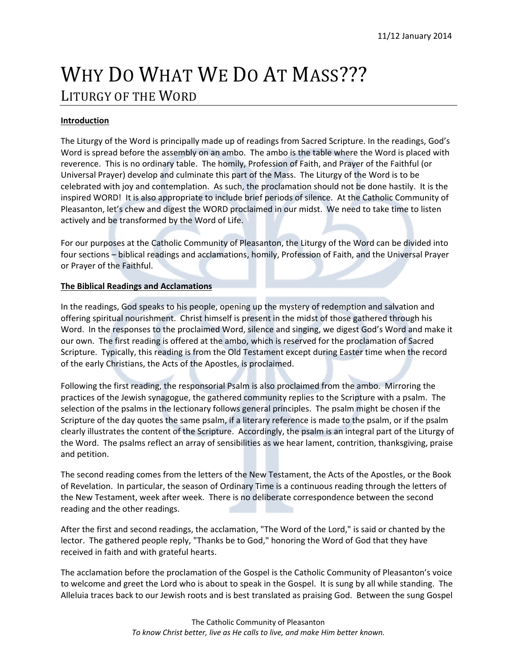# WHY DO WHAT WE DO AT MASS??? LITURGY OF THE WORD

# **Introduction**

The Liturgy of the Word is principally made up of readings from Sacred Scripture. In the readings, God's Word is spread before the assembly on an ambo. The ambo is the table where the Word is placed with reverence. This is no ordinary table. The homily, Profession of Faith, and Prayer of the Faithful (or Universal Prayer) develop and culminate this part of the Mass. The Liturgy of the Word is to be celebrated with joy and contemplation. As such, the proclamation should not be done hastily. It is the inspired WORD! It is also appropriate to include brief periods of silence. At the Catholic Community of Pleasanton, let's chew and digest the WORD proclaimed in our midst. We need to take time to listen actively and be transformed by the Word of Life.

For our purposes at the Catholic Community of Pleasanton, the Liturgy of the Word can be divided into four sections – biblical readings and acclamations, homily, Profession of Faith, and the Universal Prayer or Prayer of the Faithful.

#### **The Biblical Readings and Acclamations**

In the readings, God speaks to his people, opening up the mystery of redemption and salvation and offering spiritual nourishment. Christ himself is present in the midst of those gathered through his Word. In the responses to the proclaimed Word, silence and singing, we digest God's Word and make it our own. The first reading is offered at the ambo, which is reserved for the proclamation of Sacred Scripture. Typically, this reading is from the Old Testament except during Easter time when the record of the early Christians, the Acts of the Apostles, is proclaimed.

Following the first reading, the responsorial Psalm is also proclaimed from the ambo. Mirroring the practices of the Jewish synagogue, the gathered community replies to the Scripture with a psalm. The selection of the psalms in the lectionary follows general principles. The psalm might be chosen if the Scripture of the day quotes the same psalm, if a literary reference is made to the psalm, or if the psalm clearly illustrates the content of the Scripture. Accordingly, the psalm is an integral part of the Liturgy of the Word. The psalms reflect an array of sensibilities as we hear lament, contrition, thanksgiving, praise and petition.

The second reading comes from the letters of the New Testament, the Acts of the Apostles, or the Book of Revelation. In particular, the season of Ordinary Time is a continuous reading through the letters of the New Testament, week after week. There is no deliberate correspondence between the second reading and the other readings.

After the first and second readings, the acclamation, "The Word of the Lord," is said or chanted by the lector. The gathered people reply, "Thanks be to God," honoring the Word of God that they have received in faith and with grateful hearts.

The acclamation before the proclamation of the Gospel is the Catholic Community of Pleasanton's voice to welcome and greet the Lord who is about to speak in the Gospel. It is sung by all while standing. The Alleluia traces back to our Jewish roots and is best translated as praising God. Between the sung Gospel